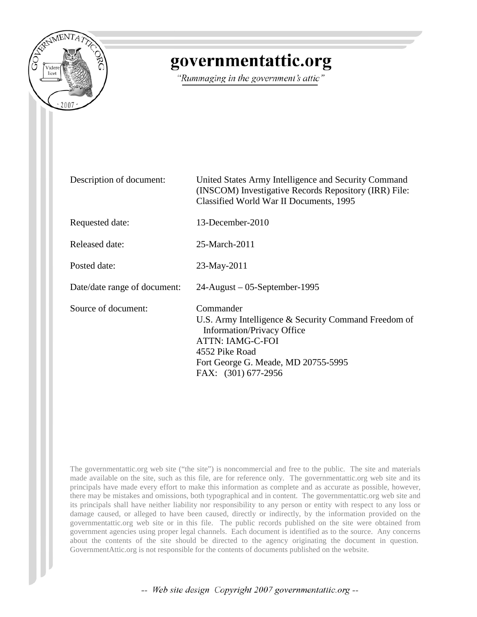

### governmentattic.org

"Rummaging in the government's attic"

| Description of document:     | United States Army Intelligence and Security Command<br>(INSCOM) Investigative Records Repository (IRR) File:<br>Classified World War II Documents, 1995                                                          |
|------------------------------|-------------------------------------------------------------------------------------------------------------------------------------------------------------------------------------------------------------------|
| Requested date:              | 13-December-2010                                                                                                                                                                                                  |
| Released date:               | 25-March-2011                                                                                                                                                                                                     |
| Posted date:                 | 23-May-2011                                                                                                                                                                                                       |
| Date/date range of document: | $24$ -August – 05-September-1995                                                                                                                                                                                  |
| Source of document:          | Commander<br>U.S. Army Intelligence & Security Command Freedom of<br><b>Information/Privacy Office</b><br><b>ATTN: IAMG-C-FOI</b><br>4552 Pike Road<br>Fort George G. Meade, MD 20755-5995<br>FAX: (301) 677-2956 |

The governmentattic.org web site ("the site") is noncommercial and free to the public. The site and materials made available on the site, such as this file, are for reference only. The governmentattic.org web site and its principals have made every effort to make this information as complete and as accurate as possible, however, there may be mistakes and omissions, both typographical and in content. The governmentattic.org web site and its principals shall have neither liability nor responsibility to any person or entity with respect to any loss or damage caused, or alleged to have been caused, directly or indirectly, by the information provided on the governmentattic.org web site or in this file. The public records published on the site were obtained from government agencies using proper legal channels. Each document is identified as to the source. Any concerns about the contents of the site should be directed to the agency originating the document in question. GovernmentAttic.org is not responsible for the contents of documents published on the website.

-- Web site design Copyright 2007 governmentattic.org --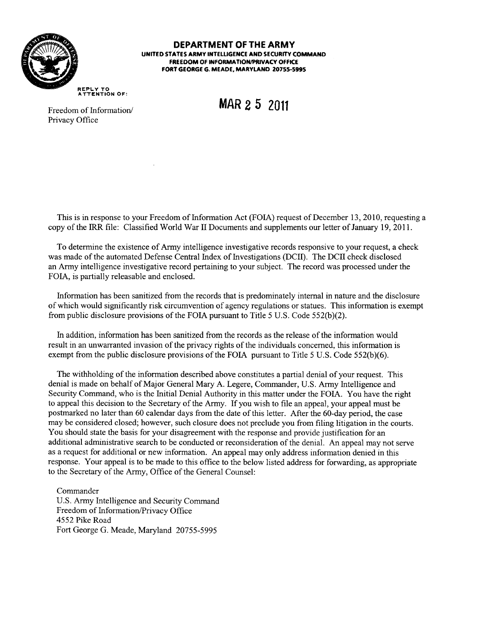

**DEPARTMENT OF THE ARMY UNITED STATES ARMY INTfLUGENCE AND SECURITY COMMAND FREEDOM OF INFORMATION/PRIVACY OFFICE FORT GEORGE G. MEADE, MARYLAND 20755-5995** 

**REPLY TO ATTENTION** OF:

**MAR 2 5 2011** 

Freedom of Information/ Privacy Office

This is in response to your Freedom of Information Act (FOIA) request of December 13, 2010, requesting a copy of the IRR file: Classified World War II Documents and supplements our letter of January 19, 2011.

To determine the existence of Army intelligence investigative records responsive to your request, a check was made of the automated Defense Central Index of Investigations (DCII). The DCII check disclosed an Army intelligence investigative record pertaining to your subject. The record was processed under the FOIA, is partially releasable and enclosed.

Information has been sanitized from the records that is predominately internal in nature and the disclosure of which would significantly risk circumvention of agency regulations or statues. This information is exempt from public disclosure provisions of the FOIA pursuant to Title 5 U.S. Code 552(b)(2).

In addition, information has been sanitized from the records as the release of the information would result in an unwarranted invasion of the privacy rights of the individuals concerned, this information is exempt from the public disclosure provisions of the FOIA pursuant to Title 5 U.S. Code 552(b)(6).

The withholding of the information described above constitutes a partial denial of your request. This denial is made on behalf of Major General Mary A. Legere, Commander, U.S. Army Intelligence and Security Command, who is the Initial Denial Authority in this matter under the FOIA. You have the right to appeal this decision to the Secretary of the Army. If you wish to file an appeal, your appeal must be postmarked no later than 60 calendar days from the date of this letter. After the 60-day period, the case may be considered closed; however, such closure does not preclude you from filing litigation in the courts. You should state the basis for your disagreement with the response and provide justification for an additional administrative search to be conducted or reconsideration of the denial. An appeal may not serve as a request for additional or new information. An appeal may only address information denied in this response. Your appeal is to be made to this office to the below listed address for forwarding, as appropriate to the Secretary of the Army, Office of the General Counsel:

Commander U.S. Army Intelligence and Security Command Freedom of Information/Privacy Office 4552 Pike Road Fort George G. Meade, Maryland 20755-5995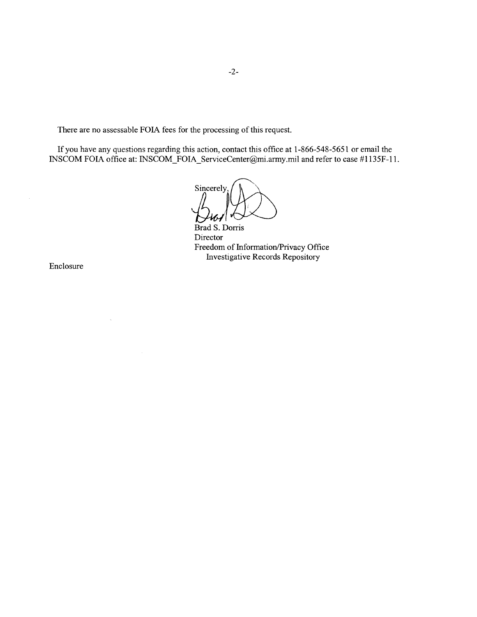There are no assessable FOIA fees for the processing of this request.

If you have any questions regarding this action, contact this office at 1-866-548-5651 or email the INSCOM FOIA office at: INSCOM\_FOIA\_ServiceCenter@mi.army.mil and refer to case #1135F-11.

Sincerely,

Brad S. Dorris Director Freedom of Information/Privacy Office Investigative Records Repository

Enclosure

 $\sim$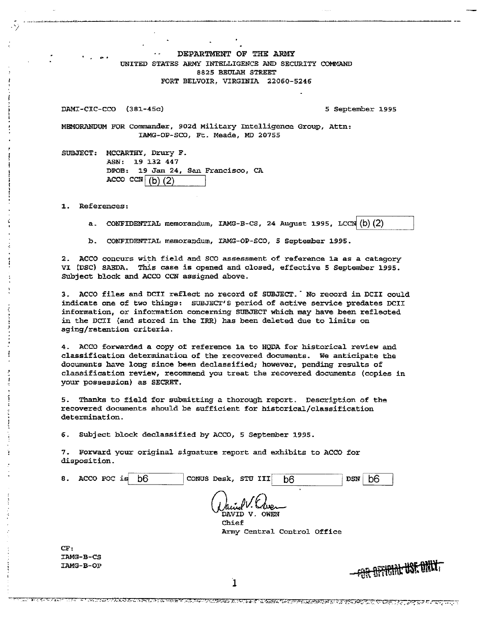DEPARTMENT OF THE ARMY UNITED STATES ARMY INTELLIGENCE AND SECURITY COMMAND 8825 BEULAH STREET FORT BELVOIR, VIRGINIA 22060-5246

DAMI-CIC-CCO (381-45c) 5 September 1995

- -·------·. -· -· ~~~---~---~~~-

 $\sim$ 

MBMORANDUM FOR Commander, 902d Military Intelligence Group, Attn: IAMG-OP•SCO, Ft. Meade, MD 20755

SUBJECT: MCCARTHY, Drury F. ASN: 19 132 447 DPOB: 19 Jan 24, San Francisco, CA ACCO CCN $\sqrt{b}$  (2)

1. References:

a. CONFIDENTIAL memorandum, IAMG-B-CS, 24 August 1995, LCCN  $(b)(2)$ 

b. CONFIDENTIAL memorandum, IAMG-OP-SCO, 5 September 1995.

2. ACCO concurs with field and SCO assessment of reference 1a as a category VI (DSC) SABDA. This ease is opened and closed, effective 5 September 1995. SUbject block and ACCO CCN assigned above.

3. ACCO files and DCII reflect no record of SUBJECT. Wo record in DCII could indicate one of two things: SUBJECT'S period of active service predates DCII information, or information concerning SUBJECT which may have been reflected in the DCII {and stored in the IRR) has been deleted due to limits on aging/retention criteria.

4. ACCO forwarded a copy of reference la to HQDA for historical review and classification determination of the recovered documents. we anticipate the documents have long since been declassified; however, pending results of classification review, recommend you treat the recovered documents (copies in your possession) as SECRET.

5. Thanks to field for submitting a thorough report. Description of the recovered documents should be sufficient for historical/classification determination.

*6.* Subject block declassified by ACCO, 5 September 1995.

7. Forward your original signature report and exhibits to ACCO for disposition.

| 8.        | ACCO POC is | b6 | CONUS Desk, STU III | b <sub>6</sub>              | <b>DSN</b> | b6 |                                    |  |
|-----------|-------------|----|---------------------|-----------------------------|------------|----|------------------------------------|--|
|           |             |    | Daniel V. Creen     |                             |            |    |                                    |  |
|           |             |    | Chief               |                             |            |    |                                    |  |
|           |             |    |                     | Army Central Control Office |            |    |                                    |  |
| CF:       |             |    |                     |                             |            |    |                                    |  |
| TAMG-B-CS |             |    |                     |                             |            |    |                                    |  |
| IAMG-B-OP |             |    |                     |                             |            |    | <del>FOR OFFICIAL USE DALLY.</del> |  |
|           |             |    |                     |                             |            |    |                                    |  |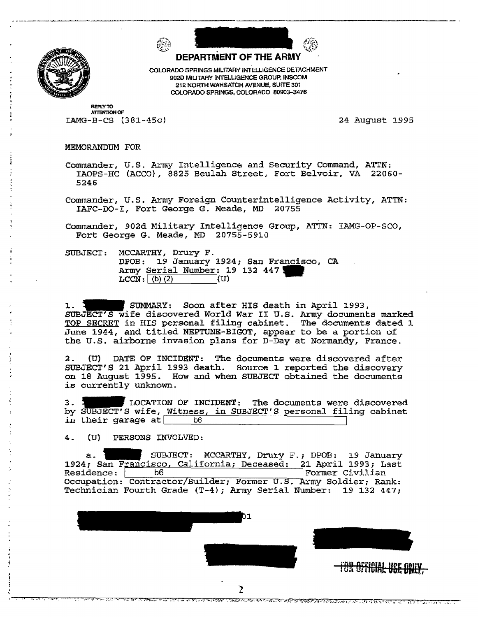

.<br>.<br>.<br>.

. <del>. . . . . . . . . . .</del>



COLORADO SPRINGS MILITARY INTELLIGENCE DETACHMENT 902D MIUTARY INTeLUGENCE GROUP, INSCOM 212 NORTH WAHSATCH AVENUE. SUITE 301 COLORADO SPRINGS, COLORADO 80903-3476

**REPLY TO ATTENTION OF**  $IMG-B-CS (381-45c)$ 

24 August 1995

MEMORANDUM FOR

Commander, U.S. Army Intelligence and Security Command, ATTN: IAOPS-HC (ACCO}, 8825 Beulah Street, Fort Belvoir, VA 22060- 5246

Commander, U.S. Army Foreign Counterintelligence Activity, ATTN: IAFC-DO-I, Fort George G. Meade, MD 20755

Commander, 902d Military Intelligence Group, ATTN: IAMG-OP-SCO, Fort George G. Meade, MD 20755-5910

SUBJECT: MCCARTHY, Drury F. DPOB: 19 January 1924; San Francisco, CA<br>Army <u>Serial Number</u>: 19 132 447<br>ICON (A) 2)  $LCCN : (b) (2)$  (U)

1. **1. SUMMARY:** Soon after HIS death in April 1993, SUBJECT'S wife discovered World War II U.S. Army documents marked TQP SECRET in HIS personal filing cabinet. The documents dated J. June 1944, and titled NEPTUNE-BIGOT, appear to be a portion of the U.S. airborne invasion plans for D-Day at Normandy, France.

2. (U) DATE OF INCIDENT: The documents were discovered after SUBJECT'S 21 April 1993 death. Source 1 reported the discovery on 18 August 1995. How and when SUBJECT obtained the documents is currently unknown. SUBJECT'S 21 April 1993 death. Source 1 reported the discovery<br>on 18 August 1995. How and when SUBJECT obtained the documents<br>is currently unknown.<br>3. LOCATION OF INCIDENT: The documents were discovered<br>by SUBJECT'S wife,

in their garage at I b6 I

4. (U) PERSONS INVOLVED:

a. Party SUBJECT: MCCARTHY, Drury F.; DPOB: 19 January 1924; San Francisco, California; Deceased: 21 April 1993; Last<br>Residence: | b6 | Former Civilian Residence: b6 B Former Civilian Occupation: Contractor/Builder; Former U.S. Army Soldier; Rank: Technician Fourth Grade (T-4); Army Serial Number: 19 132 447;



<u>ক্ষিক বিভিন্ন অন্তৰ্গত হৈ অৱস্থিত অঞ্চল হৈ যে বিভিন্ন হৈ তেওঁ হৈ য</u>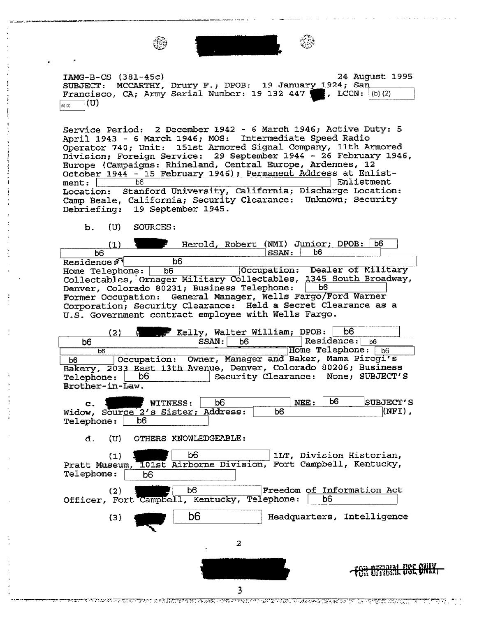

IAMG-B-CS (381-45c) 24 August 1995 SUBJECT: MCCARTHY, Drury F.; DPOB: 19 January 1924; San IAMG-B-CS (381-45c) 24 August<br>SUBJECT: MCCARTHY, Drury F.; DPOB: 19 January 1924; San<br>Francisco, CA; Army Serial Number: 19 132 447 ... , LCCN: (b)(2)  $\binom{[b]}{[c]}$   $(\mathbf{U})$ 

Service Period: 2 December 1942 - 6 March 1946; Active Duty: 5 April 1943 - 6 March 1946; MOS: Intermediate Speed Radio Operator 740; Unit: 151st Armored Signal Company, 11th Armored Division; Foreign Service: 29 September 1944 - 26 February 1946, Europe {Campaigns: Rhineland, Central Europe, Ardennes, 12 October 1944 - 15 February 1946); Permanent Address at Enlist-<br>ment:  $\begin{array}{|l|l|}\n\hline\n\end{array}$  Bolistment ment: <u>b6 b6 and the set of the set of the set of the set of the set of the set of the set of the set of the set of the set of the set of the set of the set of the set of the set of the set of the set of the set of the set</u> Location: Stanford University, California; Discharge Location: Camp Beale, California; Security Clearance: Unknown; Security Debriefing: 19 September 1945.

b. {U) SOURCES:

Herold, Robert (NMI) Junior; DPOB: b6  $(1)$  $\mid$  SSAN :  $\mid$  $\overline{b6}$ b6 b6 Residence: Occupation: Dealer of Military Home Telephone: Collectables,'ornager Denver, Colorado 80231; Business Telephone: b6 Former Occupation: General Manager, Wells Fargo/Ford Warner Corporation; Security Clearance: Held a Secret Clearance as a u.s. Government contract employee with Wells Fargo.

E Kelly, Walter William; DPOB: b6<br>SSAN: b6 Residence  $(2)$ Residence:  $66$  $\begin{array}{c|c|c|c|c|c} \hline \texttt{b6} & \texttt{Residence:} & \texttt{b6} \ \hline \texttt{b6} & \texttt{Home} & \texttt{relephone:} & \texttt{b6} \ \hline \end{array}$ Owner, Manager and Baker, Mama Pirogi's ~~-=E=a~s~t~~~~A~v~e~n~ue, Denver, Colorado 80206; Business b<sub>6</sub> Telephone: D6 I Security Clearance: None; SUBJECT'S Brother-in-Law.

|                                    | _________ | <b>WITNESS:</b> | bЄ | NEE | b6 | SUBJECT'S |  |
|------------------------------------|-----------|-----------------|----|-----|----|-----------|--|
| Widow, Source 2's Sister; Address: |           |                 |    |     |    | (NFT)     |  |
| Telephone:                         | b6        |                 |    |     |    |           |  |

d. (U) OTHERS KNOWLEDGEABLE :

(1) . b6 lLT, Division Historian,<br>Pratt Museum, 101st Airborne Division, Fort Campbell, Kentucky, Pratt Museum, 101<br>Telephone: b6 1LT, Division Historian, (2)  $\begin{array}{|c|c|c|c|c|}\n\hline\n\text{For the } & \text{F}{\text{on}} & \text{F}{\text{reedom of Information Act}} \\
\hline\n\text{For the } & \text{Camobel1. Kentucky, Telephone:} & \text{b6} & \text{b} \\
\hline\n\end{array}$ Officer, Fort Campbell, Kentucky, Telephone: **1 b6** I b6 I (3) 2

ST PRINTENDE I NEBANDEN SITTE BEAT FORDE NEET HE GEEN VARAT DIAARSATZE GETER TOT TE PHYSITISTICHT. TE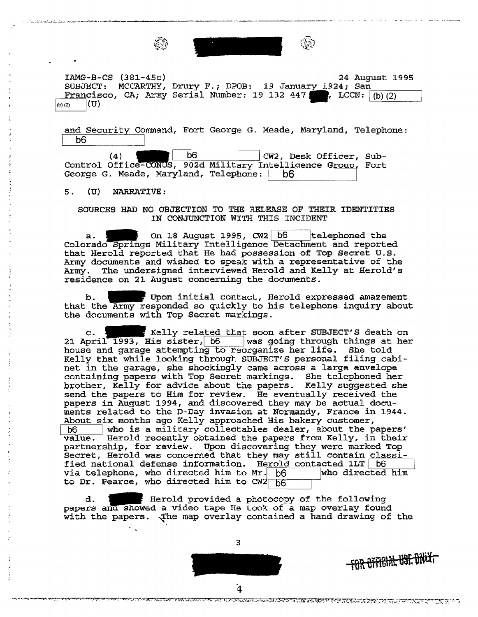

IAMG-B-CS (38l-45c) SUBJECT: MCCARTHY, Drury F.; DPOB: 19 January 1924; San Francisco, CA; Army Serial Number: 19 132 447  $(b)$   $(2)$ 24 August 1995 24 August 1<br>Drury F.; DPOB: 19 January 1924; San<br>Serial Number: 19 132 447 ., LCCN: <u>(b)(2)</u>

and Security Command, Fort George G. Meade, Maryland, Telephone:<br>b6 bs I

 $\begin{array}{c|c} \hline \begin{array}{ccc} \hline \begin{array}{ccc} \hline \begin{array}{ccc} \hline \begin{array}{ccc} \hline \begin{array}{ccc} \hline \end{array} & \hline \end{array} & \mathbf{06} & \end{array} & \mathbf{C} \mathbf{W2} \,, \text{ Desk } \mathbf{offer} \,, \end{array} \end{array}$ Control Office-CONUS, 902d Military Intelligence Group, Fort<br>George G. Meade, Maryland, Telephone: . . b6 CW2, Desk Officer, Sub-

5 • (U) NARRATIVE :

#### SOURCES HAD NO OBJECTION TO THE RELEASE OF THEIR IDENTITIES IN CONJUNCTION WITH THIS INCIDENT

a.  $\leftarrow$  On 18 August 1995, CW2 b6 | telephoned the Colorado Springs Military Intelligence Detachment and reported that Herold reported that He had possession of Top Secret U.S. Army documents and wished to speak with a representative of the Army. The undersigned interviewed Herold and Kelly at Herold's residence on 21 August concerning the documents.

b. I Get Upon initial contact, Herold expressed amazement that the Army responded so quickly to his telephone inquiry about the documents with Top Secret markings.

c. 1 11111 F Kelly related that soon after SUBJECT'S death on 21 April 1993, His sister, b6 was going through things at her house and garage attempting to reorganize her life. She told Kelly that while looking through SUBJECT'S personal filing cabinet in the garage, she shockingly came across a large envelope containing papers with Top Secret markings. She telephoned her brother, Kelly for advice about the papers. Kelly suggested she send the papers to Him for review. He eventually received the papers in August 1994, and discovered they may be actual documents related to the D-Day invasion at Normandy, France in 1944. About six months ago Kelly approached *His* bakery customer, b6 / who is a military collectables dealer, about the papers'<br>value. Herold recently obtained the papers from Kelly, in their Herold recently obtained the papers from Kelly, in their partnership, for review. Upon discovering they were marked Top Secret, Herold was concerned that they may still contain classified national defense information. Herold contacted 1LT  $\boxed{b6}$  via telephone, who directed him to Mr.  $\boxed{b6}$  who directed him *via* telephone, who directed him to Mr. b6 to Dr. Pearce, who directed him to  $C W2|_{D6}$ 

d.  $\ddot{i}$  Herold provided a photocopy of the following papers and showed a video tape He took of a map overlay found with the papers. The map overlay contained a hand drawing of the





BETUTT GESTUCKEN TASSA KULTURU ET LUCURUMATIKUM MUSISININ MUNICIPALITIIN MUNICIPALITIIN PALITIIN JULIUS TYY TYÖ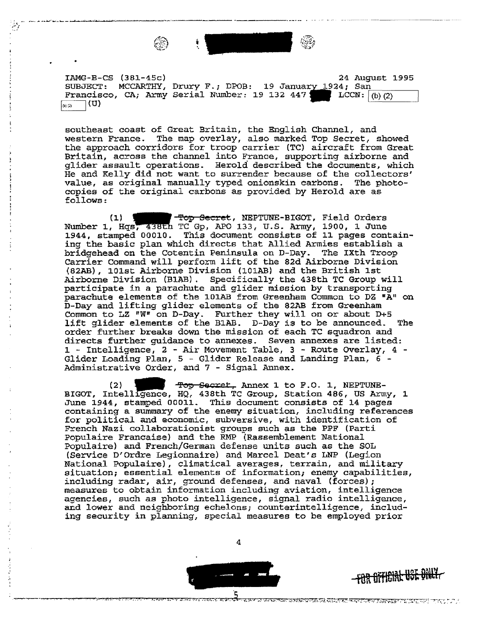

- ;'{ ........ ~ ............... ~~-----~~·---~~~~--

~:/

IAMG-B-CS (38l-45c) SUBJECT: MCCARTHY, Drury F.; DPOB: 19 January 1924; San Francisco, CA; Army Serial Number: 19 132 447 LCCN: (b) (2) <sup>1</sup> (m)  $\boxed{\circledcirc}$  (U) 24 August 1995

southeast coast of Great Britain, the English Channel, and western France. The map overlay, also marked Top Secret, showed the approach corridors for troop carrier {TC) aircraft from Great Britain, across the channel into France, supporting airborne and glider assault operations. Herold described the documents, which He and Kelly did not want to surrender because of the collectors' value, as original manually typed onionskin earbons. The photocopies of the original carbons as provided by Herold are as follows:

(1) **] Prop Secret, NEPTUNE-BIGOT, Field Orders** Number 1, Hqs, 438th TC Gp, APO 133, U.S. Army, 1900, 1 June 1944, stamped 00010. This document consists of 11 pages containing the basic plan which directs that Allied Armies establish a bridgehead on the Cotentin Peninsula on D-Day. The IXth Troop carrier command will perform lift of the 82d Airborne Division (82AB), 101st Airborne Division (101AB) and the British 1st Airborne Division (BlAB) . Specifically the 438th TC Group will participate in a parachute and glider mission by transporting parachute elements of the 101AB from Greenham Common to DZ "A" on D-Day and lifting glider elements of the 82AB from Greenham Common to LZ "W" on D-Day. Further they will on or about D+S lift glider elements of the B2AB. D-Day is to be announced. The order further breaks down the mission of each TC squadron and directs further guidance to annexes. Seven annexes are listed: 1 - Intelligence, 2 - Air Movement Table, 3 - Route Overlay, 4 - Glider Loading Plan, 5 - Glider Release and Landing Plan, 6 - Administrative Order, and 7 - Signal Annex.

(2) **1 1 Top Secret.** Annex 1 to F.O. 1, NEPTUNE-BIGOT, Intelligence, HQ, 438th TC Group, Station 486, US Army, 1 June 1944, stamped OOOl1. This document consists of 14 pages containing a summary of the enemy situation, including references for political and economic, subversive, with identification of French Nazi collaborationist groups such as the PPF {Parti Populaire Francaise) and the RMP (Rassemblement National Populaire) and French/German defense units such as the SOL (Service D'Ordre Legionnaire) and Marcel Deat's LNP (Legion National Populaire), climatical averages, terrain, and military situation; essential elements of information; enemy capabilities, including radar, *air,* ground defenses, and naval (forces); measures to obtain information including aviation, intelligence agencies, such as photo intelligence, signal radio intelligence, and lower and neighboring echelons; counterintelligence, including security in planning, special measures to be employed prior

4



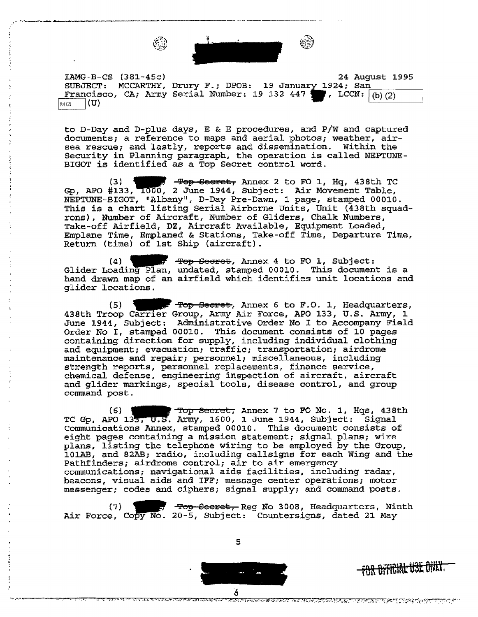

IAMG-B-CS {381-45c) 24 August 1995 SUBJECT: MCCARTHY, Drury F.; DPOB: 19 January 1924; San<br>Francisco, CA; Army Serial Number: 19 132 447 7, LCCN: (b)(2) SUBJECT: MCCARTHY, Drury F.; DPOB: 19 January 1924; San<br>Francisco, CA; Army Serial Number: 19 132 447 **I**, LCCN: (b)(2) Francisco, CA; Army Serial Number: 19 132 447 . LCCN:  $(1)(2)$  .  $(0)(2)$ 

to D-Day and D-plus days, E & E procedures, and P/W and captured documents; a reference to maps and aerial photos; weather, airsea rescue; and lastly, reports and dissemination. Within the Security in Planning paragraph, the operation is called NEPTUNE-BIGOT is identified as a Top Secret control word.

 $(3)$  **....**  $\frac{1}{2}$   $\frac{1}{2}$   $\frac{1}{2}$   $\frac{1}{2}$   $\frac{1}{2}$   $\frac{1}{2}$   $\frac{1}{2}$   $\frac{1}{2}$   $\frac{1}{2}$   $\frac{1}{2}$   $\frac{1}{2}$   $\frac{1}{2}$   $\frac{1}{2}$   $\frac{1}{2}$   $\frac{1}{2}$   $\frac{1}{2}$   $\frac{1}{2}$   $\frac{1}{2}$   $\frac{1}{2}$   $\frac{1}{2}$   $\frac{1}{2}$ Gp, APO  $\#133$ ,  $1000$ , 2 June 1944, Subject: Air Movement Table, NEPTUNE-BIGOT, "Albany11 , D-Day Pre-Dawn, 1 page, stamped 00010. This is a chart listing Serial Airborne Units, Unit (438th squadrons), Number of Aircraft, Number of Gliders, Chalk Numbers, Take-off Airfield, DZ, Aircraft Available, Equipment Loaded, Emplane Time, Emplaned & Stations, Take-off Time, Departure Time, Return (time) of 1st Ship (aircraft) .

Emplane Time, Emplaned & Stations, Take-Off Time, Departure Time<br>Return (time) of 1st Ship (aircraft).<br>(4)  $\begin{array}{ccc} \text{Fep Secret, } & \text{Annex 4 to F0 1, } & \text{Subject:} \end{array}$ <br>Glider Loading Plan, undated, stamped 00010. This document is a hand drawn map of an airfield which identifies unit locations and glider locations.<br>
(5) ... ... Top Secret, Annex 6 to F.O. 1, Headquarters,<br>
438th Troop Carrier Group, Army Air Force, APO 133, U.S. Army, 1 glider locations.

(5) (5) Top Secret, Annex 6 to F.O. 1, Headquarters, 438th Troop Carrier Group, Army Air Force, APO 133, U.S. Army, 1 June 1944, Subject: Administrative Order No I to Accompany Field Order No I, stamped 00010. This document consists of 10 pages containing direction for supply, including individual clothing and equipment; evacuation; traffic; transportation; airdrome maintenance and repair; personnel; miscellaneous, including strength reports, personnel replacements, finance service, chemical defense, engineering inspection of aircraft, aircraft and glider markings, special tools, disease control, and group command post.

{6} **lllllllt** Yap Seczet, Annex 7 to FO No. 1, Hqs, 438th TC Gp, APO 133, U.S. Army, 1600, 1 June 1944, Subject: Signal Communications Annex, stamped 00010. This document consists of eight pages containing a mission statement; signal plans; wire plans, listing the telephone wiring to be employed by the Group, 101AB, and 82AB; radio, including callsigns for each Wing and the Pathfinders; airdrome control; air to air emergency communications; navigational aids facilities, including radar, beacons, visual aids and IFF; message center operations; motor messenger; codes and ciphers; signal supply; and command posts.

(7) **the 3 of - Top-Secret,** Reg No 3008, Headquarters, Ninth Air Force, Copy No. 20-5, Subject: Countersigns, dated 21 May

5



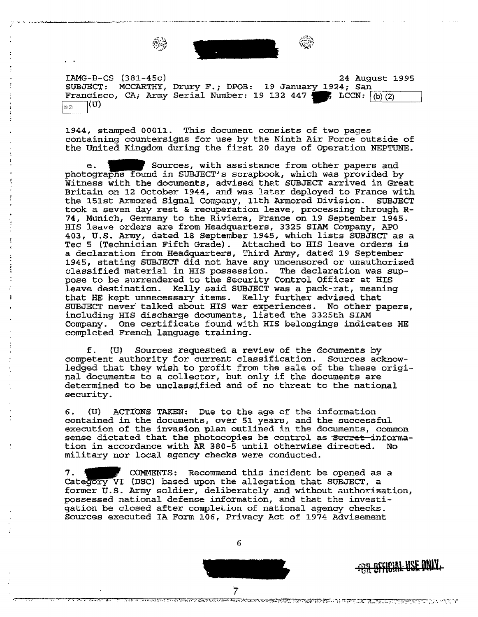

IAMG-B-CS (381-45c)

SUBJECT: MCCARTHY, Drury F.; DPOB: 19 January 1924; San Francisco, CA; Army Serial Number: 19 132 447 • LCCN:  $(0)(2)$  $(b) (2)$ b)[2) j(U) 24 August 1995

1944, stamped 00011. This document consists of two pages containing countersigns for use by the Ninth Air Force outside of the United Kingdom during the first 20 days of Operation NEPTUNE.

e. Sources, with assistance from other papers and photographs found in SUBJECT's scrapbook, which was provided by Witness with the documents, advised that SUBJECT arrived in Great Britain on 12 October 1944, and was later deployed to France with the lSlst Armored Signal Company, 11th Armored Division. SUBJECT took a seven day rest & recuperation leave, processing through R-74, Munich, Germany to the Riviera, France on 19 September 1945. HIS leave orders are from Headquarters, 3325 SIAM Company, APO 403, U.S. Army, dated 18 September 1945, which lists SUBJECT as a Tee 5 (Technician Fifth Grade) . Attached to HIS leave orders is a declaration from Headquarters, Third Army, dated 19 September 1945, stating SUBJECT did not have any uncensored or unauthorized classified material in HIS possession. The declaration was suppose to be surrendered to the Security Control Officer at HIS leave destination. Kelly said SUBJECT was a pack-rat, meaning that HE kept unnecessary items. Kelly further advised that SUBJECT never talked about HIS war experiences. No other papers, including HIS discharge documents, listed the 3325th SIAM Company. One certificate found with HIS belongings indicates HE completed French language training.

f. {U) Sources requested a review of the documents by competent authority for current classification. Sources acknowledged that they wish to profit from the sale of the these original documents to a collector, but only if the documents are determined to be unclassified and of no threat to the national security.

6. (U) ACTIONS TAKEN: Due to the age of the information contained in the documents, over 51 years, and the successful execution of the invasion plan outlined in the documents, common sense dictated that the photocopies be control as Secret information in accordance with AR 380-5 until otherwise directed. No military nor local agency checks were conducted.

7. The COMMENTS: Recommend this incident be opened as a Category VI (DSC) based upon the allegation that SUBJECT, a former U.S. Army soldier, deliberately and without authorization, possessed national defense information, and that the investigation be closed after completion of national agency checks. Sources executed IA Form 106, Privacy Act of 1974 Advisement

6

T<br>TANA KATANG PERANG PERANG PANANG PANANG PANANG ANG ANG PANGANG PANGANG PANANG PANANG PANANG PANANG PANANG PANA

**FRIA OFFICIAL USE DNIY.**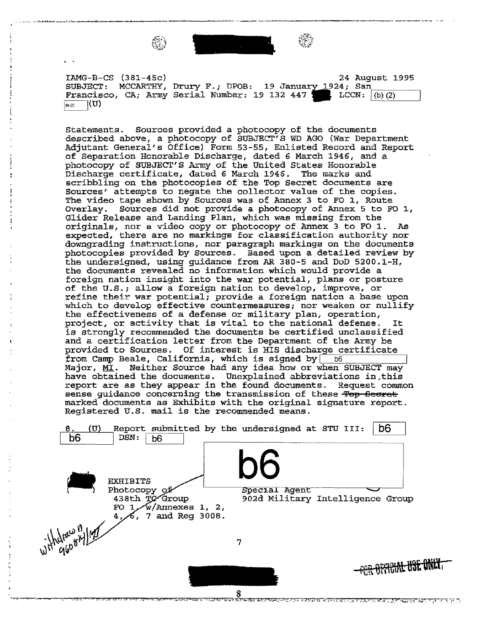

.. ·~-·---~--..: ..... :.--· -·~ -·-· - -·. -~--------------- --·----- .. --

IAMG-B-CS (381-45c)

SUBJECT: MCCARTHY, Drury F.; DPOB: 19 January 1924; San Francisco, CA; Army Serial Number: 19 132 447 LCCN:  $(b)$  (2) 24 August 1995

Statements. Sources provided a photocopy of the documents described above, a photocopy of SUBJECT'S WD AGO (War Department Adjutant General's Office) Form 53-55, Enlisted Record and Report of Separation Honorable Discharge, dated 6 March 1946, and a photocopy of SUBJECT'S Army of the United States Honorable Discharge certificate, dated 6 March 1946. The marks and scribbling on the photocopies of the Top Secret documents are Sources' attempts to negate the collector value of the copies. The video tape shown by Sources was of Annex 3 to FO 1, Route Overlay. Sources did not provide a photocopy of Annex 5 to FO  $1$ , Glider Release and Landing Plan, which was missing from the originals, nor a video copy or photocopy of Annex 3 to FO 1. As expected, there are no markings for classification authority nor downgrading instructions, nor paragraph markings on the documents photocopies provided by Sources. Based upon a detailed review by the undersigned, using guidance from AR 380-5 and DoD 5200.1-H, the documents revealed no information which would provide a foreign nation insight into the war potential, plans or posture of the U.S.; allow a foreign nation to develop, improve, or refine their war potential; provide a foreign nation a base upon which to develop effective countermeasures; nor weaken or nullify the effectiveness of a defense or military plan, operation, project, or activity that is vital to the national defense. is strongly recommended the documents be certified unclassified and a certification letter from the Department of the Army be provided to Sources. Of interest is HIS discharge certificate from Camp Beale, California, which is signed by  $|$  b6 Major, MI. Neither Source had any idea how or when SUBJECT may have obtained the documents. Unexplained abbreviations in this report are as they appear in the found documents. Request common sense guidance concerning the transmission of these Top Secret marked documents as Exhibits with the original signature report. Registered U.S. mail is the recommended means.

8. (U) Report submitted by the undersigned at STU III: **b6** b6 DSN: **b6** b6 EXHIBITS Photocopy of Special Agent 438th TC Group 902d Military Intelligence Group FO 1 w/Annexes 1, 2, 4, 6, 7 and Reg 3008.<br>
Which  $q_{\theta}^{(0)}$  $4/\sqrt{6}$ , 7 and Reg 3008. 7 <del>FOR OFFICIAL USE ONLY</del>

कम्बन्धन्यान्यान् र जीविके भी शिवास्त्र परिवर्तन को प्रतिकारित परी जाता होते पिछान् सा अन्नत पात्र पात्र परिवर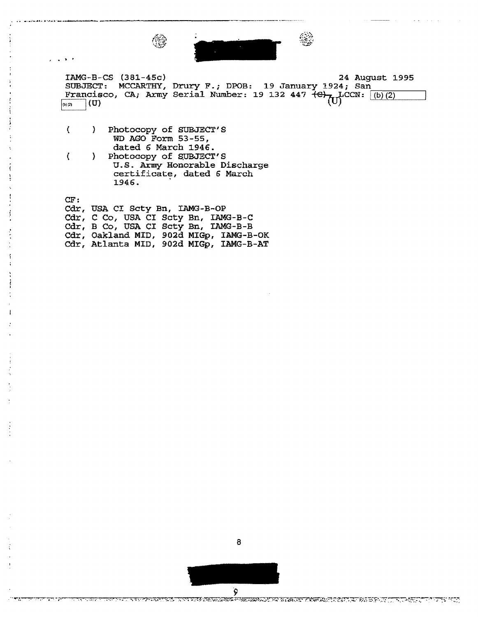

 $IMG-B-CS (381-45c)$ SUBJECT: MCCARTHY, Drury F.; DPOB: 19 January 1924; San Francisco, CA; Army Serial Number: 19 132 447 <del>(C)<sub>711</sub></del>CCN: (b)(2) 24 August 1995 (U)

( } Photocopy of SUBJECT's WD AGO Form 53-55, dated 6 March 1946.

... .,, .... \_ ........ ,.,\_ .•.. \_ ... -..-\_~~-----------------~

. .

( ) Photocopy of SUBJECT'S U.S. Army Honorable Discharge certificate, dated 6 March 1946. .

CF: Cdr, USA CI Scty Bn, IAMG-B-OP Cdr, C Co, USA CI Scty Bn, IAMG-B-C Cdr, B Co, USA CI Scty Bn, IAMG-B-B Cdr, Oakland MID, 902d MIGp, IAMG-B-OK Cdr, Atlanta MID, 902d MIGp, IAMG-B-AT



8

TER TROPISTIONSKIPSKI <sup>(</sup>PARTAMILITER MEMERY PIATIK ROCHIT, IT DI BIPLIT (TT. T. RRITT T. T. P. 1957)

ড়য়ড়ড়য়য়য়ড়য়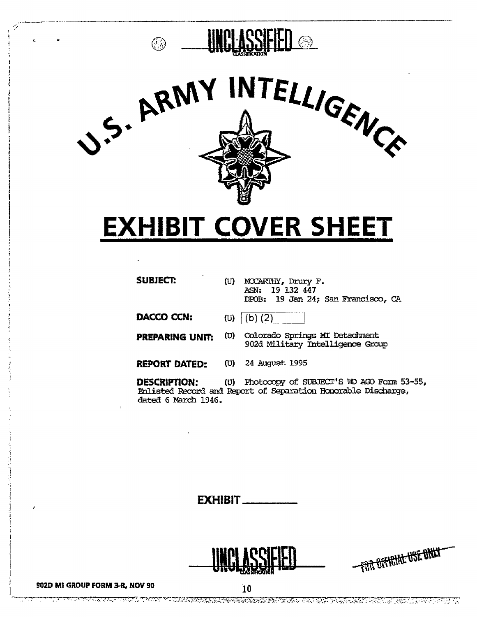

## **EXHIBIT COVER SHEET**

| <b>SUBJECT:</b>        | (U) | MCCARTHY, Drury F.<br>ASN: 19 132 447<br>DPOB: 19 Jan 24; San Francisco, CA |
|------------------------|-----|-----------------------------------------------------------------------------|
| DACCO CCN:             | (U) | (b) (2)                                                                     |
| <b>PREPARING UNIT:</b> | (U) | Colorado Springs MI Detachment<br>902d Military Intelligence Group          |
| <b>REPORT DATED:</b>   | (U) | 24 August 1995                                                              |
| DESCRIPTION:           | (U) | Photocopy of SUBJECT'S WD AGO Form 5                                        |

 $3 - 55.$ Enlisted Record and Report of Separation Honorable Discharge, dated 6 March 1946.

**EXHIBIT\_** 



 $\overline{10}$ 



#### 902D MI GROUP FORM 3-R, NOV 90

T TERNATURI IN TERNATURI INDELLE ELEGISCHE ER IN ER IN DER TERU EN EINE ER DER TERNATURI ER DER ER ER EINE DE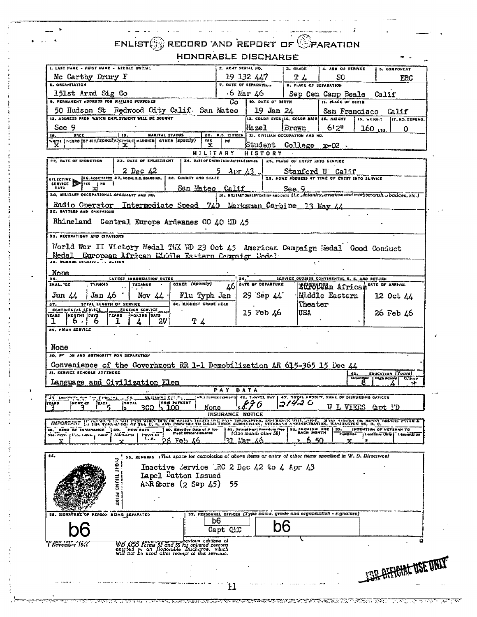### $ENLIST$  RECORD AND REPORT OF  $\mathbb{C}$  PARATION HONORABLE DISCHARGE

|                                                                                                                                                                                                                                                                                                                                                                                                                                                                                                                                                                                                                                                    |                               | <b>Z. ARNY SERIAL NO.</b> |                               | 3. GRADE                                                                | 4. ABM OR SERVICE                                                                           |                         |                             |
|----------------------------------------------------------------------------------------------------------------------------------------------------------------------------------------------------------------------------------------------------------------------------------------------------------------------------------------------------------------------------------------------------------------------------------------------------------------------------------------------------------------------------------------------------------------------------------------------------------------------------------------------------|-------------------------------|---------------------------|-------------------------------|-------------------------------------------------------------------------|---------------------------------------------------------------------------------------------|-------------------------|-----------------------------|
| 1. LAST HANE - FIRST HANE - MIDDLE INIZIAL<br>Mc Carthy Drury F                                                                                                                                                                                                                                                                                                                                                                                                                                                                                                                                                                                    |                               | 19 132 447                |                               | T <sub>4</sub>                                                          | SC                                                                                          |                         | 5. COMFONENT<br>ERC         |
| <b>8. ORGANIZATION</b>                                                                                                                                                                                                                                                                                                                                                                                                                                                                                                                                                                                                                             | 7. DATE OF SEPARATION         |                           |                               | <b>8. PLACE OF SEPARATION</b>                                           |                                                                                             |                         |                             |
| 151st Armd Sig Co<br>9. PERMANENT ADDRESS FOR MAILING PURPOSES                                                                                                                                                                                                                                                                                                                                                                                                                                                                                                                                                                                     |                               | $\cdot$ 6 Mar 46<br>G∩    | 10. DATE O" BIRTH             |                                                                         | Sep Cen Camp Beale Calif<br>I IL PLACE OF BIRTH                                             |                         |                             |
| 50 Hudson St Redwood City Calif. San Mateo                                                                                                                                                                                                                                                                                                                                                                                                                                                                                                                                                                                                         |                               |                           | 19 Jan 24                     |                                                                         | San Francisco                                                                               |                         | Callif                      |
| 12. ADDRESS FROM WHICH ENPLOYMENT WILL BE SOUGHT                                                                                                                                                                                                                                                                                                                                                                                                                                                                                                                                                                                                   |                               |                           |                               | 13. COLOR EYES 114, COLOR HAIR 15, BEIGHT                               |                                                                                             | 18. WEIGHT              | 117. NO. DEPEND.            |
| See 9<br><b>RACE</b><br><b>MARITAL STATUS</b><br>ts.<br>19.                                                                                                                                                                                                                                                                                                                                                                                                                                                                                                                                                                                        |                               | 20. U.S. CITIZEN          | Hazel                         | l Brown<br>21. CIVILIAN OCCUPATION AND ND.                              | 612                                                                                         | $160$ $\mu$ ss.         | Ω                           |
| wante   NCGRO   ОТНЕВ(SPECI/У) SEVOLE  МАRRIED  СТИЕВ (SPECI/У)<br>x<br>x                                                                                                                                                                                                                                                                                                                                                                                                                                                                                                                                                                          | YES.<br>x                     | 'nō                       |                               | Student College x-02 .                                                  |                                                                                             |                         |                             |
| <b>23. DATE OF ENLISTMENT</b><br><b>22. DATE OF INDUCTION</b>                                                                                                                                                                                                                                                                                                                                                                                                                                                                                                                                                                                      | MILITARY -                    |                           | HISTORY                       | Z4. BARE OF ENTRY INTO ACTIVE SCRVICE   25, PLACE OF ENTRY INTO SERVICE |                                                                                             |                         |                             |
| $2$ Dec $42$                                                                                                                                                                                                                                                                                                                                                                                                                                                                                                                                                                                                                                       |                               | Apr 43.                   |                               |                                                                         | Stanford U Calif                                                                            |                         |                             |
| 26. AUGISTIFICS 27. ACCALS.S. BOARD NO.   28. COUNTY AND STATE<br>SELECTIVE $\sum_{\text{TES}_{\text{u}}\text{N}} \frac{z_{\text{S,ATG1:17-x}}}{\text{TS_{u}}\text{N}}$                                                                                                                                                                                                                                                                                                                                                                                                                                                                            |                               |                           |                               |                                                                         | 29. HONE ADDRESS AT TIME OF ENTRY INTO SERVICE                                              |                         |                             |
| エニマニ<br>ж<br>30. MILITANY OCCUPATIONAL SPECIALTY AND NO.                                                                                                                                                                                                                                                                                                                                                                                                                                                                                                                                                                                           | San Mateo Calif               |                           |                               | See 9                                                                   | 31. MILITARY QUALIFICATION AND DATE (L.C., infanity, cynation and marksmansh  badges, etc.) |                         |                             |
|                                                                                                                                                                                                                                                                                                                                                                                                                                                                                                                                                                                                                                                    |                               |                           |                               |                                                                         |                                                                                             |                         |                             |
| Radio Operator Intermediate Speed 740 Marksman Carbine 13 May 44.<br>as. aattika and carraisma                                                                                                                                                                                                                                                                                                                                                                                                                                                                                                                                                     |                               |                           |                               |                                                                         |                                                                                             |                         |                             |
| Rhineland Gentral Europe Ardennes GO 40 WD 45                                                                                                                                                                                                                                                                                                                                                                                                                                                                                                                                                                                                      |                               |                           |                               |                                                                         |                                                                                             |                         |                             |
| 33, SECORATIONS AND CITATIONS                                                                                                                                                                                                                                                                                                                                                                                                                                                                                                                                                                                                                      |                               |                           |                               |                                                                         |                                                                                             |                         |                             |
| World War II Victory Medal TWX WD 23 Oct 45 American Campaign Redal Good Conduct                                                                                                                                                                                                                                                                                                                                                                                                                                                                                                                                                                   |                               |                           |                               |                                                                         |                                                                                             |                         |                             |
| Medal European African Middle Fastern Cemraign Medal<br>34. WOBNDS RECEIVE. . ACTION                                                                                                                                                                                                                                                                                                                                                                                                                                                                                                                                                               |                               |                           |                               |                                                                         |                                                                                             |                         |                             |
| None                                                                                                                                                                                                                                                                                                                                                                                                                                                                                                                                                                                                                                               |                               |                           |                               |                                                                         |                                                                                             |                         |                             |
| <b>LATEST INMUNIZATION DATES</b><br>35.<br>SHALL TOX<br>7171010<br><b>TEIANUS</b>                                                                                                                                                                                                                                                                                                                                                                                                                                                                                                                                                                  | orner (specify)               | 46                        | DATE OF DEPARTURE             |                                                                         | SERVICE OUTSIDE CONTINENTAL U. S. ARD RETURN<br>Etholean African <sup>DATE</sup> OF ARRIVAL |                         |                             |
| $\text{Jun} \, \mu$<br>$\int$ Jan 46<br>Nov $\mu$ .                                                                                                                                                                                                                                                                                                                                                                                                                                                                                                                                                                                                | Flu Typh Jan                  |                           | 29 Sep 44                     |                                                                         | <b>Exide Eastern</b>                                                                        |                         | 12 Oct 44                   |
| TOTAL LENGTH OF SERVICE<br>37.<br>CONTINEKTAL SERVICE<br>FOREIGN SERVICE                                                                                                                                                                                                                                                                                                                                                                                                                                                                                                                                                                           | <b>38. HIGHEST GRADE HELD</b> |                           |                               | iTheater                                                                |                                                                                             |                         |                             |
| <b>YEARS   MONTHS   DAYS</b><br>TEARS POLINS DATS<br>27<br>ь.<br>ь                                                                                                                                                                                                                                                                                                                                                                                                                                                                                                                                                                                 | T 4                           |                           | 15 Feb $\mu$ 6                | IUSA                                                                    |                                                                                             |                         | 26 Feb 46                   |
| T<br>- 1<br>39. PRIOR SERVICE                                                                                                                                                                                                                                                                                                                                                                                                                                                                                                                                                                                                                      |                               |                           |                               |                                                                         |                                                                                             |                         |                             |
|                                                                                                                                                                                                                                                                                                                                                                                                                                                                                                                                                                                                                                                    |                               |                           |                               |                                                                         |                                                                                             |                         |                             |
|                                                                                                                                                                                                                                                                                                                                                                                                                                                                                                                                                                                                                                                    |                               |                           |                               |                                                                         |                                                                                             |                         |                             |
|                                                                                                                                                                                                                                                                                                                                                                                                                                                                                                                                                                                                                                                    |                               |                           |                               |                                                                         |                                                                                             |                         |                             |
|                                                                                                                                                                                                                                                                                                                                                                                                                                                                                                                                                                                                                                                    |                               |                           |                               |                                                                         |                                                                                             |                         |                             |
|                                                                                                                                                                                                                                                                                                                                                                                                                                                                                                                                                                                                                                                    |                               |                           |                               |                                                                         |                                                                                             |                         | EDUCATION (Years)           |
|                                                                                                                                                                                                                                                                                                                                                                                                                                                                                                                                                                                                                                                    |                               |                           |                               |                                                                         |                                                                                             | Grainger   Righ School  | Culture<br>가                |
| MARIENNA CAT.P.                                                                                                                                                                                                                                                                                                                                                                                                                                                                                                                                                                                                                                    |                               | PAY DATA                  |                               |                                                                         | ASA JAMER EZPENTS 46. THAVEL PAT   47. TOTAL ANDBITY, HAME OF DISBURGING OFFICER            |                         |                             |
| <b>SURFALLS</b> FOATS<br>ำ                                                                                                                                                                                                                                                                                                                                                                                                                                                                                                                                                                                                                         | Mone                          |                           | 1,690                         | $314 - 6$                                                               | W T. VIEES Got UD                                                                           |                         |                             |
|                                                                                                                                                                                                                                                                                                                                                                                                                                                                                                                                                                                                                                                    |                               | INSURANCE NOTICE          |                               |                                                                         |                                                                                             |                         |                             |
|                                                                                                                                                                                                                                                                                                                                                                                                                                                                                                                                                                                                                                                    | SD, Effective Date of P fot.  |                           | \$1. Date of Heat Premium Oue | 32. PREMIUM DUE   33.<br>EACH MONTH                                     |                                                                                             | INTENTION OF VETERAN TO |                             |
| <b>INNER</b><br><b>A.A.</b><br>Fe h                                                                                                                                                                                                                                                                                                                                                                                                                                                                                                                                                                                                                | ment Discontinuance           | $25 -$                    | 10ze month alter 50)<br>76    | 650                                                                     | <b>Continue</b>                                                                             |                         | Lontinue Only   Discontinue |
|                                                                                                                                                                                                                                                                                                                                                                                                                                                                                                                                                                                                                                                    |                               |                           |                               |                                                                         |                                                                                             |                         |                             |
| 55, REMARKS (This spece for completion of above items or entry of other items specified in W. D. Directives)                                                                                                                                                                                                                                                                                                                                                                                                                                                                                                                                       |                               |                           |                               |                                                                         |                                                                                             |                         |                             |
| <b>MOHI</b><br>Inactive Service 1RC 2 Dec 42 to 4 Apr 43                                                                                                                                                                                                                                                                                                                                                                                                                                                                                                                                                                                           |                               |                           |                               |                                                                         |                                                                                             |                         |                             |
| Lapel Button Issued<br>$A:R$ Store $(2$ Sep $45)$                                                                                                                                                                                                                                                                                                                                                                                                                                                                                                                                                                                                  |                               | - 55                      |                               |                                                                         |                                                                                             |                         |                             |
|                                                                                                                                                                                                                                                                                                                                                                                                                                                                                                                                                                                                                                                    |                               |                           |                               |                                                                         |                                                                                             |                         |                             |
|                                                                                                                                                                                                                                                                                                                                                                                                                                                                                                                                                                                                                                                    |                               |                           |                               |                                                                         |                                                                                             |                         |                             |
|                                                                                                                                                                                                                                                                                                                                                                                                                                                                                                                                                                                                                                                    |                               |                           |                               |                                                                         | 57. PERSONNEL OFFICER (Type nome, grade and organization - signature)                       |                         |                             |
|                                                                                                                                                                                                                                                                                                                                                                                                                                                                                                                                                                                                                                                    | b6                            |                           |                               |                                                                         |                                                                                             |                         |                             |
|                                                                                                                                                                                                                                                                                                                                                                                                                                                                                                                                                                                                                                                    |                               | Capt QLC                  |                               |                                                                         |                                                                                             |                         |                             |
|                                                                                                                                                                                                                                                                                                                                                                                                                                                                                                                                                                                                                                                    |                               |                           |                               |                                                                         |                                                                                             |                         |                             |
| None<br>40. P" ON ARD AUTHORITY FOR SEPARATION<br>Convenience of the Government RR 1-1 Demobilization AR 615-365 15 Dec 44<br>41, SERVICE SCHODLS ATTENDED<br>Language and Civilization Elem<br>31 London on W.Pittsman Jim<br> rrg=s<br>IMPORTANT IF PULSICY IN NOT PUB WHEN BE OR WHILE THEIRY ONE PINS TREDUMPTER, INSURANCE WILL LAPSE. ALTER CHEANS OR MOSSY TRIDERS FIVARE<br>48. KIND OF THSURANCE 149. HOW PAID<br>54.<br>16. SIGNATURE OF PERSON BEING SEPAPATED<br>WD 1000 Expression and S5 horious editions of<br>entried by crime 53 and 55 horionled episoness<br>will not be used after recupt of this revision.<br>I November 1944 |                               |                           |                               |                                                                         |                                                                                             |                         |                             |
|                                                                                                                                                                                                                                                                                                                                                                                                                                                                                                                                                                                                                                                    |                               |                           |                               |                                                                         |                                                                                             |                         | <b>BIL AFFIEHNE USE UN</b>  |

**SARA A LA COL** 

**ATENTARY** 

 $\sigma_{\rm{max}}$ 

TENNIS MENDELLA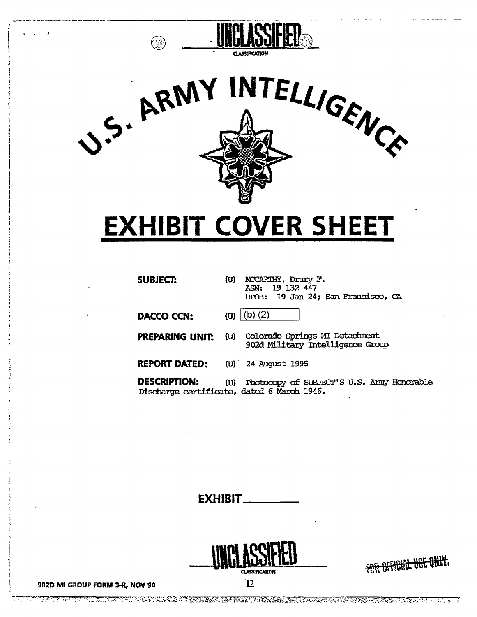



# **EXHIBIT COVER SHEET**

| SUBJECT:             | (U)  | MCCARTHY, Drury F.<br>ASN: 19 132 447<br>DPOB: 19 Jan 24; San Francisco, CA              |
|----------------------|------|------------------------------------------------------------------------------------------|
| DACCO CCN:           |      | ( <b>u</b> ) $(b)$ ( <b>2</b> )                                                          |
| PREPARING UNIT.      | (U)  | Colorado Springs MI Detachment<br>902d Military Intelligence Group                       |
| <b>REPORT DATED:</b> |      | (U) 24 August 1995                                                                       |
| <b>DESCRIPTION:</b>  | (U). | Photocopy of SUBJECT'S U.S. Army Honorable<br>Discharge certificate, dated 6 March 1946. |

**EXHIBIT.** 



 $\overline{12}$ 

<del>FOR OFFICIAL USE ONLY</del>



TE KENDET TE EN KINNEN EN KOMMUNIKATION OM DIE SOLDE KOMMUNIKATION OM DIE TE DE DE DE DE DE DE DE DE DE DE DE <u> Tanah Suma</u>